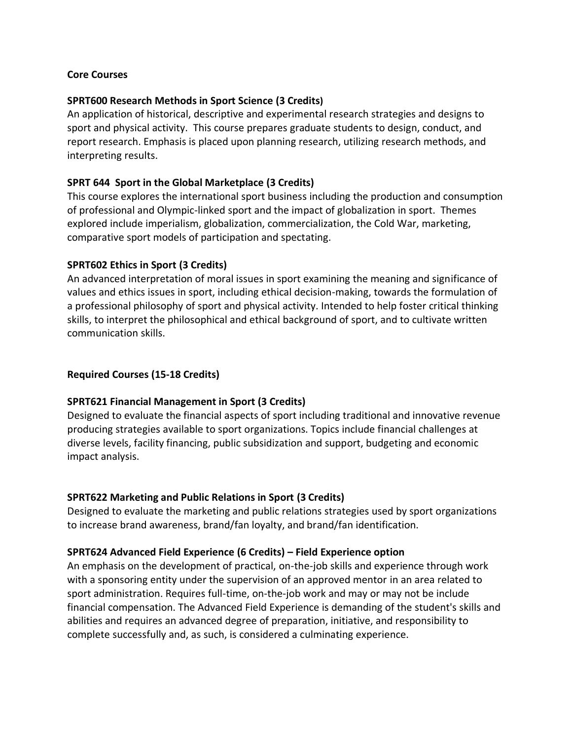### **Core Courses**

### **SPRT600 Research Methods in Sport Science (3 Credits)**

An application of historical, descriptive and experimental research strategies and designs to sport and physical activity. This course prepares graduate students to design, conduct, and report research. Emphasis is placed upon planning research, utilizing research methods, and interpreting results.

### **SPRT 644 Sport in the Global Marketplace (3 Credits)**

This course explores the international sport business including the production and consumption of professional and Olympic-linked sport and the impact of globalization in sport. Themes explored include imperialism, globalization, commercialization, the Cold War, marketing, comparative sport models of participation and spectating.

#### **SPRT602 Ethics in Sport (3 Credits)**

An advanced interpretation of moral issues in sport examining the meaning and significance of values and ethics issues in sport, including ethical decision-making, towards the formulation of a professional philosophy of sport and physical activity. Intended to help foster critical thinking skills, to interpret the philosophical and ethical background of sport, and to cultivate written communication skills.

### **Required Courses (15-18 Credits)**

#### **SPRT621 Financial Management in Sport (3 Credits)**

Designed to evaluate the financial aspects of sport including traditional and innovative revenue producing strategies available to sport organizations. Topics include financial challenges at diverse levels, facility financing, public subsidization and support, budgeting and economic impact analysis.

### **SPRT622 Marketing and Public Relations in Sport (3 Credits)**

Designed to evaluate the marketing and public relations strategies used by sport organizations to increase brand awareness, brand/fan loyalty, and brand/fan identification.

#### **SPRT624 Advanced Field Experience (6 Credits) – Field Experience option**

An emphasis on the development of practical, on-the-job skills and experience through work with a sponsoring entity under the supervision of an approved mentor in an area related to sport administration. Requires full-time, on-the-job work and may or may not be include financial compensation. The Advanced Field Experience is demanding of the student's skills and abilities and requires an advanced degree of preparation, initiative, and responsibility to complete successfully and, as such, is considered a culminating experience.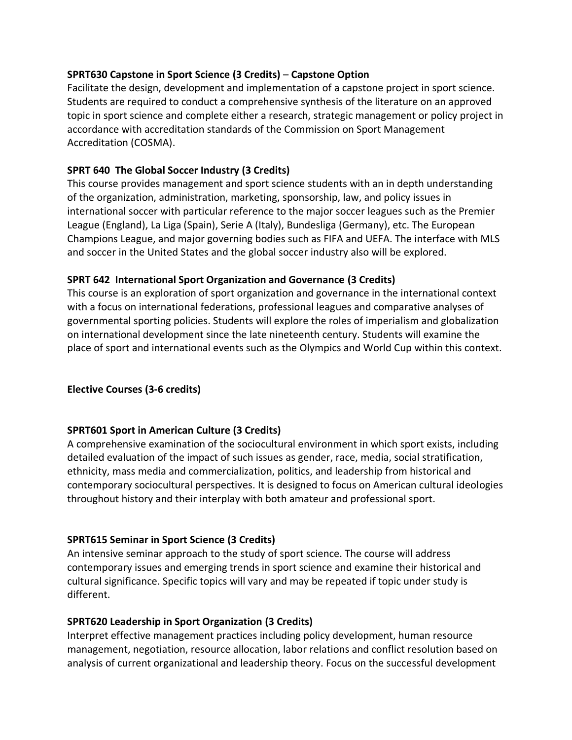## **SPRT630 Capstone in Sport Science (3 Credits)** – **Capstone Option**

Facilitate the design, development and implementation of a capstone project in sport science. Students are required to conduct a comprehensive synthesis of the literature on an approved topic in sport science and complete either a research, strategic management or policy project in accordance with accreditation standards of the Commission on Sport Management Accreditation (COSMA).

### **SPRT 640 The Global Soccer Industry (3 Credits)**

This course provides management and sport science students with an in depth understanding of the organization, administration, marketing, sponsorship, law, and policy issues in international soccer with particular reference to the major soccer leagues such as the Premier League (England), La Liga (Spain), Serie A (Italy), Bundesliga (Germany), etc. The European Champions League, and major governing bodies such as FIFA and UEFA. The interface with MLS and soccer in the United States and the global soccer industry also will be explored.

## **SPRT 642 International Sport Organization and Governance (3 Credits)**

This course is an exploration of sport organization and governance in the international context with a focus on international federations, professional leagues and comparative analyses of governmental sporting policies. Students will explore the roles of imperialism and globalization on international development since the late nineteenth century. Students will examine the place of sport and international events such as the Olympics and World Cup within this context.

## **Elective Courses (3-6 credits)**

### **SPRT601 Sport in American Culture (3 Credits)**

A comprehensive examination of the sociocultural environment in which sport exists, including detailed evaluation of the impact of such issues as gender, race, media, social stratification, ethnicity, mass media and commercialization, politics, and leadership from historical and contemporary sociocultural perspectives. It is designed to focus on American cultural ideologies throughout history and their interplay with both amateur and professional sport.

### **SPRT615 Seminar in Sport Science (3 Credits)**

An intensive seminar approach to the study of sport science. The course will address contemporary issues and emerging trends in sport science and examine their historical and cultural significance. Specific topics will vary and may be repeated if topic under study is different.

### **SPRT620 Leadership in Sport Organization (3 Credits)**

Interpret effective management practices including policy development, human resource management, negotiation, resource allocation, labor relations and conflict resolution based on analysis of current organizational and leadership theory. Focus on the successful development